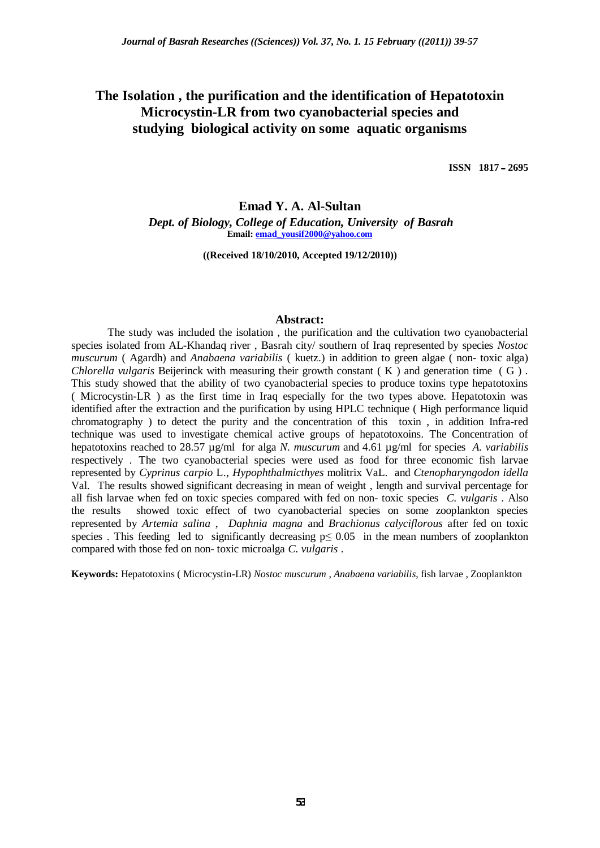# **The Isolation , the purification and the identification of Hepatotoxin Microcystin-LR from two cyanobacterial species and studying biological activity on some aquatic organisms**

**ISSN 1817˰˰ 2695**

# **Emad Y. A. Al-Sultan**

*Dept. of Biology, College of Education, University of Basrah* **Email: [emad\\_yousif2000@yahoo.com](mailto:emad_yousif2000:@yahoo.com)**

**((Received 18/10/2010, Accepted 19/12/2010))**

#### **Abstract:**

The study was included the isolation , the purification and the cultivation two cyanobacterial species isolated from AL-Khandaq river , Basrah city/ southern of Iraq represented by species *Nostoc muscurum* ( Agardh) and *Anabaena variabilis* ( kuetz.) in addition to green algae ( non- toxic alga) *Chlorella vulgaris* Beijerinck with measuring their growth constant ( K ) and generation time ( G ) . This study showed that the ability of two cyanobacterial species to produce toxins type hepatotoxins ( Microcystin-LR ) as the first time in Iraq especially for the two types above. Hepatotoxin was identified after the extraction and the purification by using HPLC technique ( High performance liquid chromatography ) to detect the purity and the concentration of this toxin , in addition Infra-red technique was used to investigate chemical active groups of hepatotoxoins. The Concentration of hepatotoxins reached to 28.57 µg/ml for alga *N. muscurum* and 4.61 µg/ml for species *A. variabilis* respectively *.* The two cyanobacterial species were used as food for three economic fish larvae represented by *Cyprinus carpio* L., *Hypophthalmicthyes* molitrix VaL. and *Ctenopharyngodon idella* Val. The results showed significant decreasing in mean of weight , length and survival percentage for all fish larvae when fed on toxic species compared with fed on non- toxic species *C. vulgaris* . Also the results showed toxic effect of two cyanobacterial species on some zooplankton species represented by *Artemia salina* , *Daphnia magna* and *Brachionus calyciflorous* after fed on toxic species. This feeding led to significantly decreasing  $p \le 0.05$  in the mean numbers of zooplankton compared with those fed on non- toxic microalga *C. vulgaris* .

**Keywords:** Hepatotoxins ( Microcystin-LR) *Nostoc muscurum* , *Anabaena variabilis*, fish larvae , Zooplankton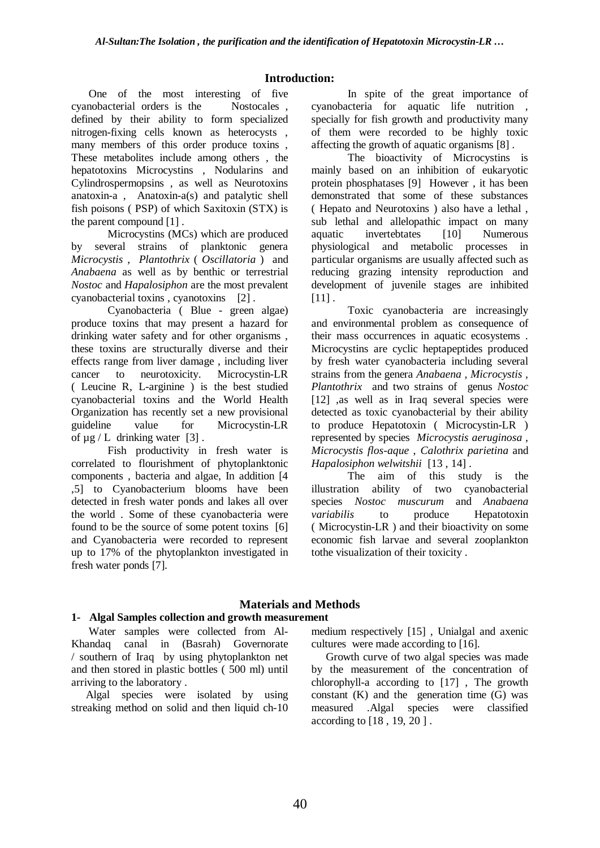# **Introduction:**

 One of the most interesting of five cyanobacterial orders is the Nostocales , defined by their ability to form specialized nitrogen-fixing cells known as heterocysts , many members of this order produce toxins , These metabolites include among others , the hepatotoxins Microcystins , Nodularins and Cylindrospermopsins , as well as Neurotoxins anatoxin-a , Anatoxin-a(s) and patalytic shell fish poisons ( PSP) of which Saxitoxin (STX) is the parent compound [1] .

Microcystins (MCs) which are produced by several strains of planktonic genera *Microcystis* , *Plantothrix* ( *Oscillatoria* ) and *Anabaena* as well as by benthic or terrestrial *Nostoc* and *Hapalosiphon* are the most prevalent cyanobacterial toxins , cyanotoxins [2] .

Cyanobacteria ( Blue - green algae) produce toxins that may present a hazard for drinking water safety and for other organisms , these toxins are structurally diverse and their effects range from liver damage , including liver cancer to neurotoxicity. Microcystin-LR ( Leucine R, L-arginine ) is the best studied cyanobacterial toxins and the World Health Organization has recently set a new provisional guideline value for Microcystin-LR of  $\mu$ g / L drinking water [3].

Fish productivity in fresh water is correlated to flourishment of phytoplanktonic components , bacteria and algae, In addition [4 ,5] to Cyanobacterium blooms have been detected in fresh water ponds and lakes all over the world . Some of these cyanobacteria were found to be the source of some potent toxins [6] and Cyanobacteria were recorded to represent up to 17% of the phytoplankton investigated in fresh water ponds [7].

In spite of the great importance of cyanobacteria for aquatic life nutrition , specially for fish growth and productivity many of them were recorded to be highly toxic affecting the growth of aquatic organisms [8] .

The bioactivity of Microcystins is mainly based on an inhibition of eukaryotic protein phosphatases [9] However , it has been demonstrated that some of these substances ( Hepato and Neurotoxins ) also have a lethal , sub lethal and allelopathic impact on many aquatic invertebtates [10] Numerous physiological and metabolic processes in particular organisms are usually affected such as reducing grazing intensity reproduction and development of juvenile stages are inhibited  $[11]$ .

Toxic cyanobacteria are increasingly and environmental problem as consequence of their mass occurrences in aquatic ecosystems . Microcystins are cyclic heptapeptides produced by fresh water cyanobacteria including several strains from the genera *Anabaena , Microcystis , Plantothrix* and two strains of genus *Nostoc* [12] ,as well as in Iraq several species were detected as toxic cyanobacterial by their ability to produce Hepatotoxin ( Microcystin-LR ) represented by species *Microcystis aeruginosa* , *Microcystis flos-aque* , *Calothrix parietina* and *Hapalosiphon welwitshii* [13 , 14] .

The aim of this study is the illustration ability of two cyanobacterial species *Nostoc muscurum* and *Anabaena variabilis* to produce Hepatotoxin ( Microcystin-LR ) and their bioactivity on some economic fish larvae and several zooplankton tothe visualization of their toxicity .

# **Materials and Methods**

# **1- Algal Samples collection and growth measurement**

 Water samples were collected from Al-Khandaq canal in (Basrah) Governorate / southern of Iraq by using phytoplankton net and then stored in plastic bottles ( 500 ml) until arriving to the laboratory .

 Algal species were isolated by using streaking method on solid and then liquid ch-10 medium respectively [15] , Unialgal and axenic cultures were made according to [16].

 Growth curve of two algal species was made by the measurement of the concentration of chlorophyll-a according to [17] , The growth constant  $(K)$  and the generation time  $(G)$  was measured .Algal species were classified according to [18 , 19, 20 ] .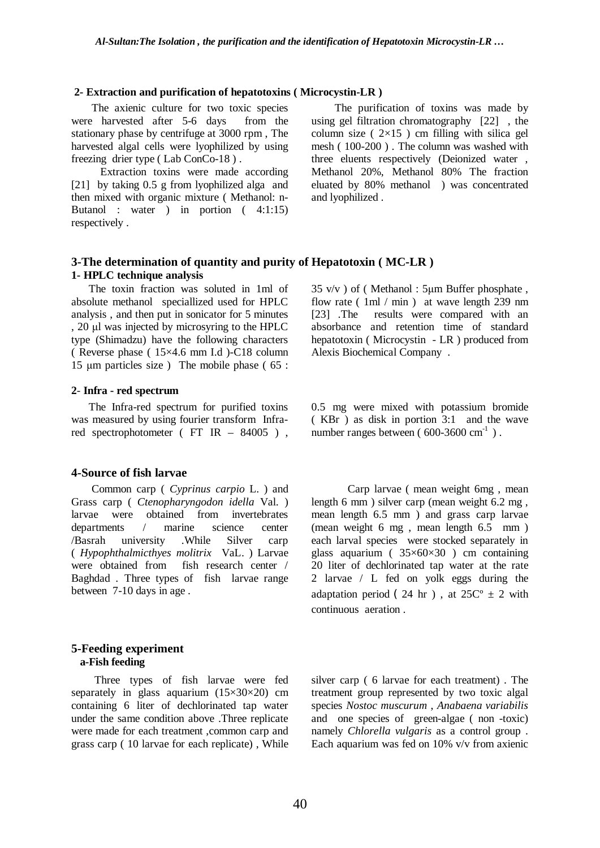#### **2- Extraction and purification of hepatotoxins ( Microcystin-LR )**

 The axienic culture for two toxic species were harvested after 5-6 days from the stationary phase by centrifuge at 3000 rpm , The harvested algal cells were lyophilized by using freezing drier type ( Lab ConCo-18 ) .

 Extraction toxins were made according [21] by taking 0.5 g from lyophilized alga and then mixed with organic mixture ( Methanol: n-Butanol : water ) in portion ( 4:1:15) respectively .

 The purification of toxins was made by using gel filtration chromatography [22] , the column size ( $2\times15$ ) cm filling with silica gel mesh ( 100-200 ) . The column was washed with three eluents respectively (Deionized water , Methanol 20%, Methanol 80% The fraction eluated by 80% methanol ) was concentrated and lyophilized .

### **3-The determination of quantity and purity of Hepatotoxin ( MC-LR ) 1- HPLC technique analysis**

 The toxin fraction was soluted in 1ml of absolute methanol speciallized used for HPLC analysis , and then put in sonicator for 5 minutes , 20 ȝl was injected by microsyring to the HPLC type (Shimadzu) have the following characters ( Reverse phase ( 15×4.6 mm I.d )-C18 column 15  $\mu$ m particles size) The mobile phase (65 :

#### **2**- **Infra - red spectrum**

 The Infra-red spectrum for purified toxins was measured by using fourier transform Infrared spectrophotometer ( FT IR – 84005 ) ,

#### **4-Source of fish larvae**

 Common carp ( *Cyprinus carpio* L. ) and Grass carp ( *Ctenopharyngodon idella* Val. ) larvae were obtained from invertebrates departments / marine science center /Basrah university .While Silver carp ( *Hypophthalmicthyes molitrix* VaL. ) Larvae were obtained from fish research center / Baghdad . Three types of fish larvae range between 7-10 days in age .

#### **5-Feeding experiment a-Fish feeding**

 Three types of fish larvae were fed separately in glass aquarium  $(15\times30\times20)$  cm containing 6 liter of dechlorinated tap water under the same condition above .Three replicate were made for each treatment ,common carp and grass carp ( 10 larvae for each replicate) , While

 $35 \text{ v/v}$ ) of (Methanol:  $5 \mu m$  Buffer phosphate, flow rate ( 1ml / min ) at wave length 239 nm [23] .The results were compared with an absorbance and retention time of standard hepatotoxin ( Microcystin - LR ) produced from Alexis Biochemical Company .

0.5 mg were mixed with potassium bromide ( KBr ) as disk in portion 3:1 and the wave number ranges between ( $600-3600$  cm<sup>-1</sup>).

Carp larvae ( mean weight 6mg , mean length 6 mm ) silver carp (mean weight 6.2 mg , mean length 6.5 mm ) and grass carp larvae (mean weight 6 mg , mean length 6.5 mm ) each larval species were stocked separately in glass aquarium ( $35\times60\times30$ ) cm containing 20 liter of dechlorinated tap water at the rate 2 larvae / L fed on yolk eggs during the adaptation period ( 24 hr), at  $25C^{\circ} \pm 2$  with continuous aeration .

silver carp ( 6 larvae for each treatment) . The treatment group represented by two toxic algal species *Nostoc muscurum* , *Anabaena variabilis* and one species of green-algae ( non -toxic) namely *Chlorella vulgaris* as a control group . Each aquarium was fed on 10% v/v from axienic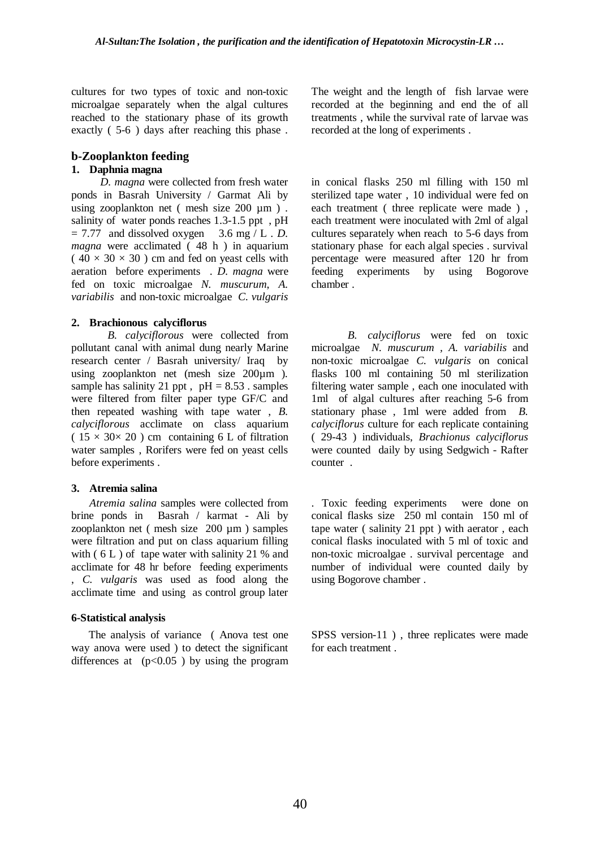cultures for two types of toxic and non-toxic microalgae separately when the algal cultures reached to the stationary phase of its growth exactly ( 5-6 ) days after reaching this phase .

# **b-Zooplankton feeding**

## **1. Daphnia magna**

 *D. magna* were collected from fresh water ponds in Basrah University / Garmat Ali by using zooplankton net (mesh size 200 µm). salinity of water ponds reaches 1.3-1.5 ppt , pH  $= 7.77$  and dissolved oxygen 3.6 mg / L . *D*. *magna* were acclimated ( 48 h ) in aquarium  $(40 \times 30 \times 30)$  cm and fed on yeast cells with aeration before experiments . *D. magna* were fed on toxic microalgae *N. muscurum*, *A. variabilis* and non-toxic microalgae *C. vulgaris*

#### **2. Brachionous calyciflorus**

*B. calyciflorous* were collected from pollutant canal with animal dung nearly Marine research center / Basrah university/ Iraq by using zooplankton net (mesh size 200µm ). sample has salinity 21 ppt,  $pH = 8.53$ . samples were filtered from filter paper type GF/C and then repeated washing with tape water , *B. calyciflorous* acclimate on class aquarium  $(15 \times 30 \times 20)$  cm containing 6 L of filtration water samples , Rorifers were fed on yeast cells before experiments .

#### **3. Atremia salina**

*Atremia salina* samples were collected from brine ponds in Basrah / karmat - Ali by zooplankton net ( mesh size 200 µm ) samples were filtration and put on class aquarium filling with  $(6 L)$  of tape water with salinity 21 % and acclimate for 48 hr before feeding experiments , *C. vulgaris* was used as food along the acclimate time and using as control group later

#### **6-Statistical analysis**

 The analysis of variance ( Anova test one way anova were used ) to detect the significant differences at  $(p<0.05)$  by using the program The weight and the length of fish larvae were recorded at the beginning and end the of all treatments , while the survival rate of larvae was recorded at the long of experiments .

in conical flasks 250 ml filling with 150 ml sterilized tape water , 10 individual were fed on each treatment ( three replicate were made ) , each treatment were inoculated with 2ml of algal cultures separately when reach to 5-6 days from stationary phase for each algal species . survival percentage were measured after 120 hr from feeding experiments by using Bogorove chamber .

*B. calyciflorus* were fed on toxic microalgae *N. muscurum , A. variabilis* and non-toxic microalgae *C. vulgaris* on conical flasks 100 ml containing 50 ml sterilization filtering water sample , each one inoculated with 1ml of algal cultures after reaching 5-6 from stationary phase , 1ml were added from *B. calyciflorus* culture for each replicate containing ( 29-43 ) individuals, *Brachionus calyciflorus* were counted daily by using Sedgwich - Rafter counter .

. Toxic feeding experiments were done on conical flasks size 250 ml contain 150 ml of tape water ( salinity 21 ppt ) with aerator , each conical flasks inoculated with 5 ml of toxic and non-toxic microalgae . survival percentage and number of individual were counted daily by using Bogorove chamber .

SPSS version-11 ) , three replicates were made for each treatment .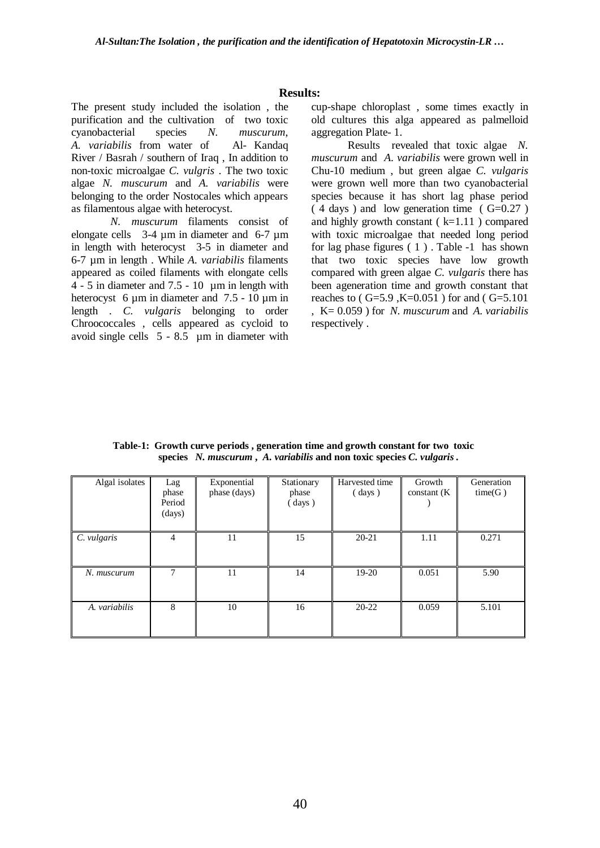#### **Results:**

The present study included the isolation , the purification and the cultivation of two toxic cyanobacterial species *N. muscurum*, *A. variabilis* from water of Al- Kandaq River / Basrah / southern of Iraq , In addition to non-toxic microalgae *C. vulgris* . The two toxic algae *N. muscurum* and *A. variabilis* were belonging to the order Nostocales which appears as filamentous algae with heterocyst.

*N. muscurum* filaments consist of elongate cells 3-4 um in diameter and 6-7 um in length with heterocyst 3-5 in diameter and 6-7 µm in length . While *A. variabilis* filaments appeared as coiled filaments with elongate cells  $4 - 5$  in diameter and  $7.5 - 10$  µm in length with heterocyst 6  $\mu$ m in diameter and 7.5 - 10  $\mu$ m in length . *C. vulgaris* belonging to order Chroococcales , cells appeared as cycloid to avoid single cells  $5 - 8.5$  µm in diameter with cup-shape chloroplast , some times exactly in old cultures this alga appeared as palmelloid aggregation Plate- 1.

Results revealed that toxic algae *N. muscurum* and *A. variabilis* were grown well in Chu-10 medium , but green algae *C. vulgaris* were grown well more than two cyanobacterial species because it has short lag phase period  $(4 \text{ days})$  and low generation time  $(6=0.27)$ and highly growth constant  $(k=1.11)$  compared with toxic microalgae that needed long period for lag phase figures ( 1 ) . Table -1 has shown that two toxic species have low growth compared with green algae *C. vulgaris* there has been ageneration time and growth constant that reaches to ( $G=5.9$ ,  $K=0.051$ ) for and ( $G=5.101$ , K= 0.059 ) for *N. muscurum* and *A. variabilis* respectively .

|  |  | Table-1: Growth curve periods, generation time and growth constant for two toxic |  |
|--|--|----------------------------------------------------------------------------------|--|
|  |  | species N. muscurum, A. variabilis and non toxic species C. vulgaris.            |  |

| Algal isolates | Lag<br>phase<br>Period<br>(days) | Exponential<br>phase (days) | Stationary<br>phase<br>(days) | Harvested time<br>$\frac{days}{}$ | Growth<br>constant (K) | Generation<br>time(G) |
|----------------|----------------------------------|-----------------------------|-------------------------------|-----------------------------------|------------------------|-----------------------|
| C. vulgaris    | 4                                | 11                          | 15                            | $20 - 21$                         | 1.11                   | 0.271                 |
| N. muscurum    |                                  | 11                          | 14                            | $19-20$                           | 0.051                  | 5.90                  |
| A. variabilis  | 8                                | 10                          | 16                            | $20 - 22$                         | 0.059                  | 5.101                 |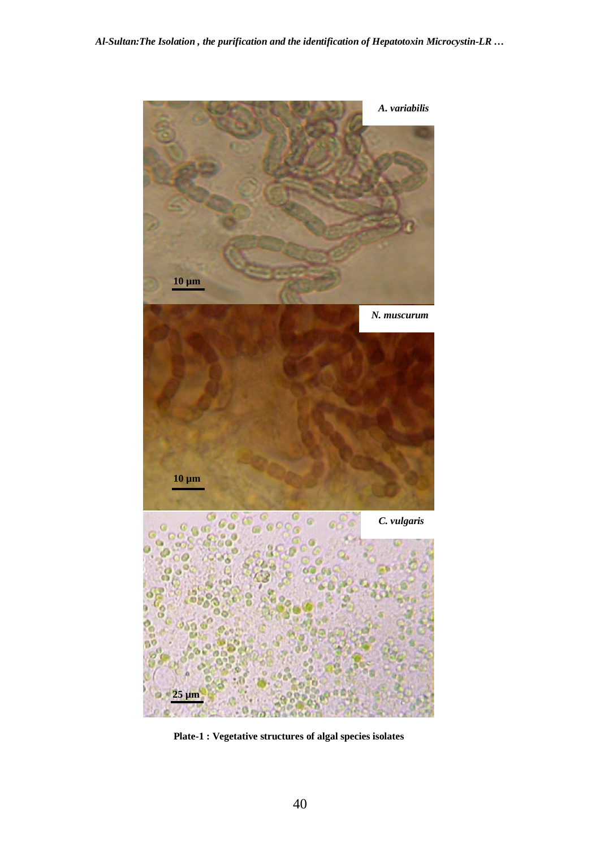

**Plate-1 : Vegetative structures of algal species isolates**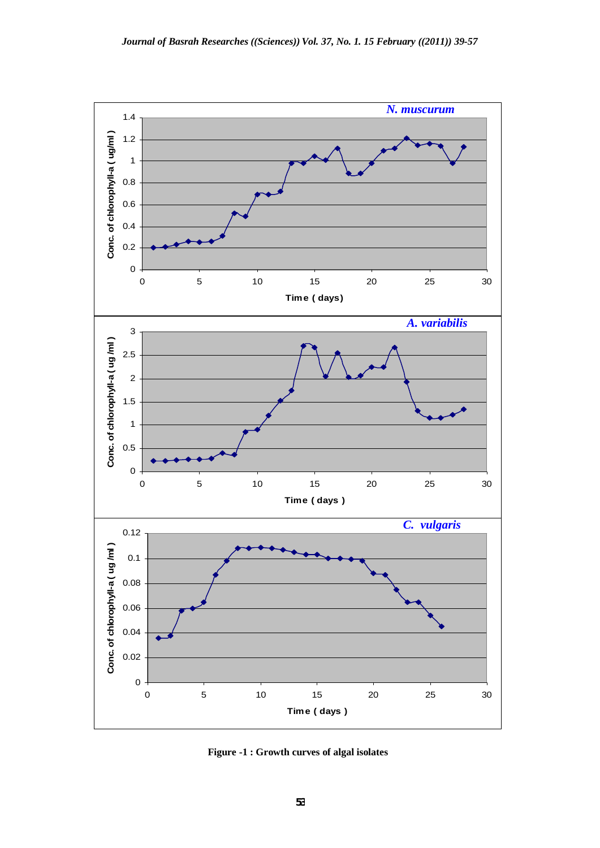

**Figure -1 : Growth curves of algal isolates**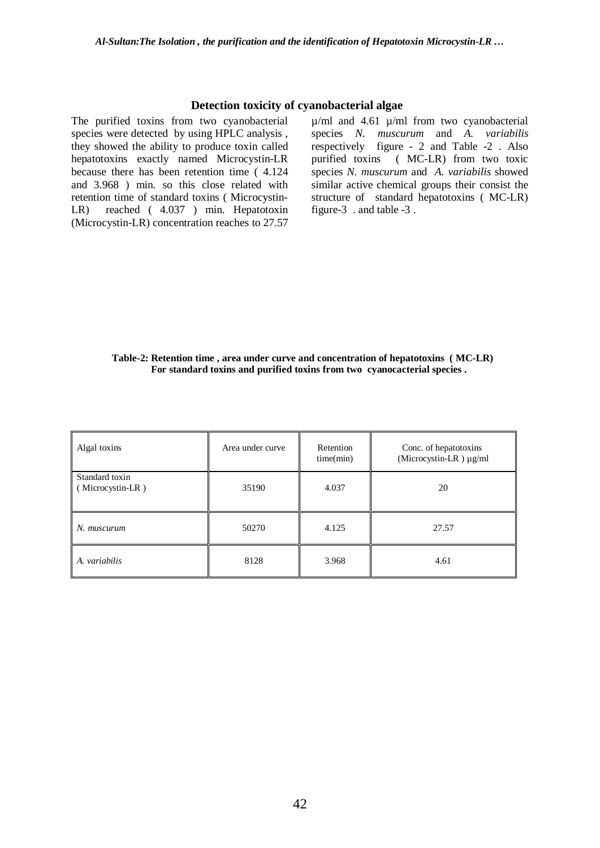#### **Detection toxicity of cyanobacterial algae**

The purified toxins from two cyanobacterial species were detected by using HPLC analysis , they showed the ability to produce toxin called hepatotoxins exactly named Microcystin-LR because there has been retention time ( 4.124 and 3.968 ) min. so this close related with retention time of standard toxins ( Microcystin-LR) reached ( 4.037 ) min. Hepatotoxin (Microcystin-LR) concentration reaches to 27.57  $\mu$ /ml and 4.61  $\mu$ /ml from two cyanobacterial species *N. muscurum* and *A. variabilis* respectively figure - 2 and Table -2 . Also purified toxins ( MC-LR) from two toxic species *N. muscurum* and *A. variabilis* showed similar active chemical groups their consist the structure of standard hepatotoxins ( MC-LR) figure-3 . and table -3 .

#### **Table-2: Retention time , area under curve and concentration of hepatotoxins ( MC-LR) For standard toxins and purified toxins from two cyanocacterial species .**

| Algal toxins                       | Area under curve | Retention<br>time(min) | Conc. of hepatotoxins<br>(Microcystin-LR) $\mu$ g/ml |
|------------------------------------|------------------|------------------------|------------------------------------------------------|
| Standard toxin<br>(Microcystin-LR) | 35190            | 4.037                  | 20                                                   |
| N. muscurum                        | 50270            | 4.125                  | 27.57                                                |
| A. variabilis                      | 8128             | 3.968                  | 4.61                                                 |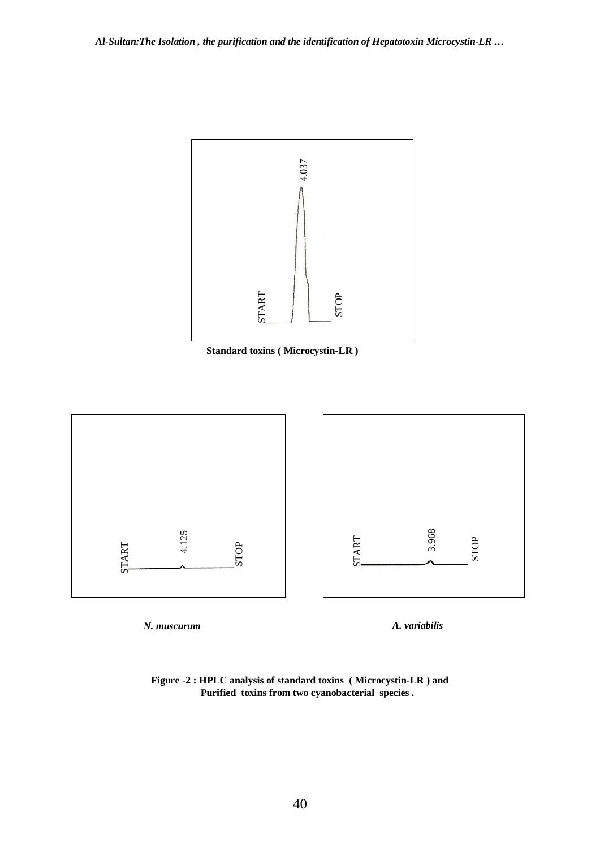





*N. muscurum A. variabilis*

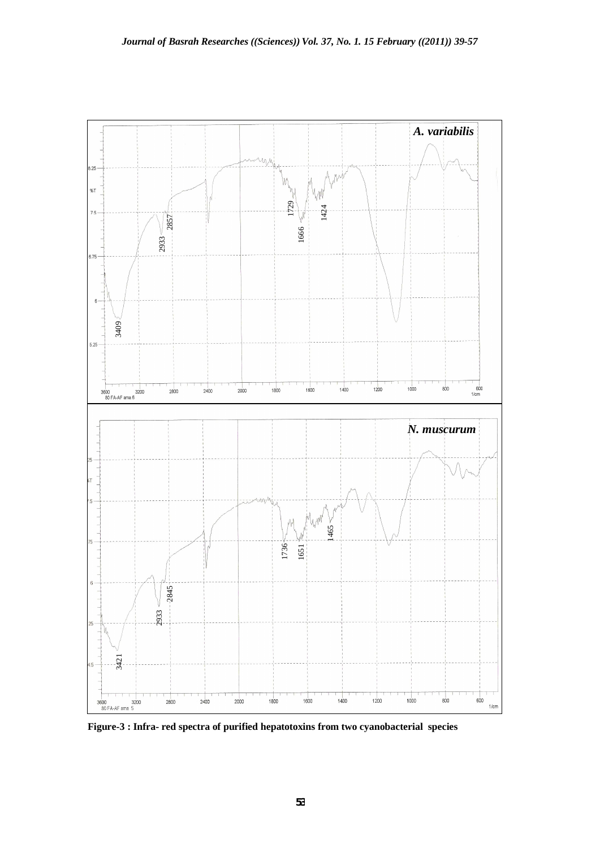

**Figure-3 : Infra- red spectra of purified hepatotoxins from two cyanobacterial species**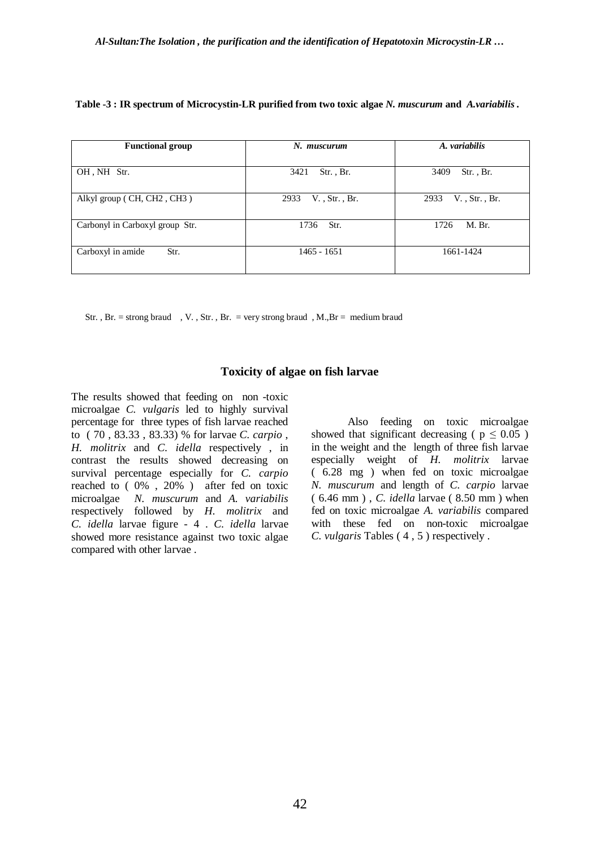|  | Table -3 : IR spectrum of Microcystin-LR purified from two toxic algae N. muscurum and A.variabilis. |
|--|------------------------------------------------------------------------------------------------------|
|  |                                                                                                      |

| <b>Functional group</b>         | N. muscurum              | A. variabilis            |  |
|---------------------------------|--------------------------|--------------------------|--|
| OH, NH Str.                     | $Str.$ , Br.<br>3421     | 3409<br>Str., Br.        |  |
| Alkyl group (CH, CH2, CH3)      | $V.$ , Str., Br.<br>2933 | $V.$ , Str., Br.<br>2933 |  |
| Carbonyl in Carboxyl group Str. | Str.<br>1736             | 1726<br>M. Br.           |  |
| Carboxyl in amide<br>Str.       | $1465 - 1651$            | 1661-1424                |  |

Str., Br. = strong braud , V., Str., Br. = very strong braud , M., Br = medium braud

# **Toxicity of algae on fish larvae**

The results showed that feeding on non -toxic microalgae *C. vulgaris* led to highly survival percentage for three types of fish larvae reached to ( 70 , 83.33 , 83.33) % for larvae *C. carpio* , *H. molitrix* and *C. idella* respectively , in contrast the results showed decreasing on survival percentage especially for *C. carpio* reached to  $(0\%$ ,  $20\%$ ) after fed on toxic microalgae *N. muscurum* and *A. variabilis* respectively followed by *H. molitrix* and *C. idella* larvae figure - 4 . *C. idella* larvae showed more resistance against two toxic algae compared with other larvae .

 Also feeding on toxic microalgae showed that significant decreasing ( $p \leq 0.05$ ) in the weight and the length of three fish larvae especially weight of *H. molitrix* larvae ( 6.28 mg ) when fed on toxic microalgae *N. muscurum* and length of *C. carpio* larvae ( 6.46 mm ) , *C. idella* larvae ( 8.50 mm ) when fed on toxic microalgae *A. variabilis* compared with these fed on non-toxic microalgae *C. vulgaris* Tables ( 4 , 5 ) respectively .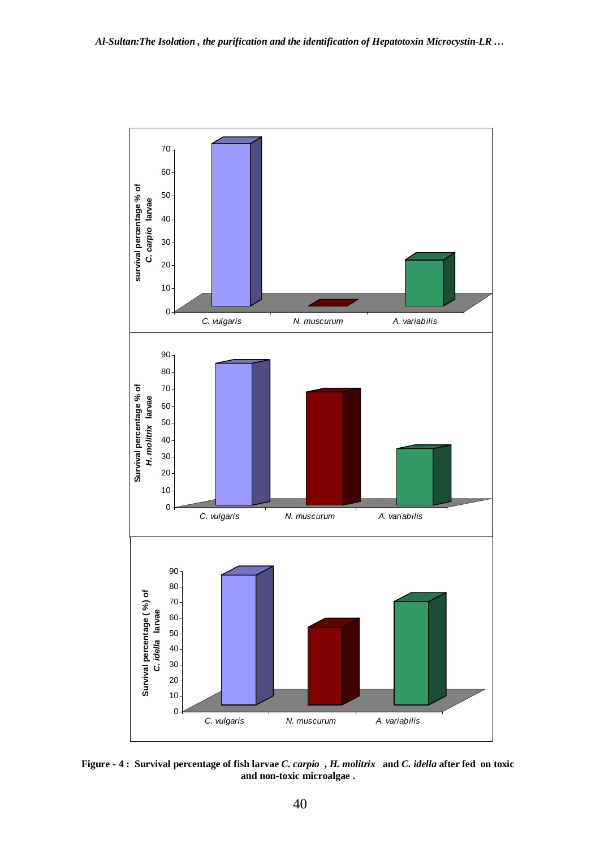

**Figure - 4 : Survival percentage of fish larvae** *C. carpio* **,** *H. molitrix* **and** *C. idella* **after fed on toxic and non-toxic microalgae .**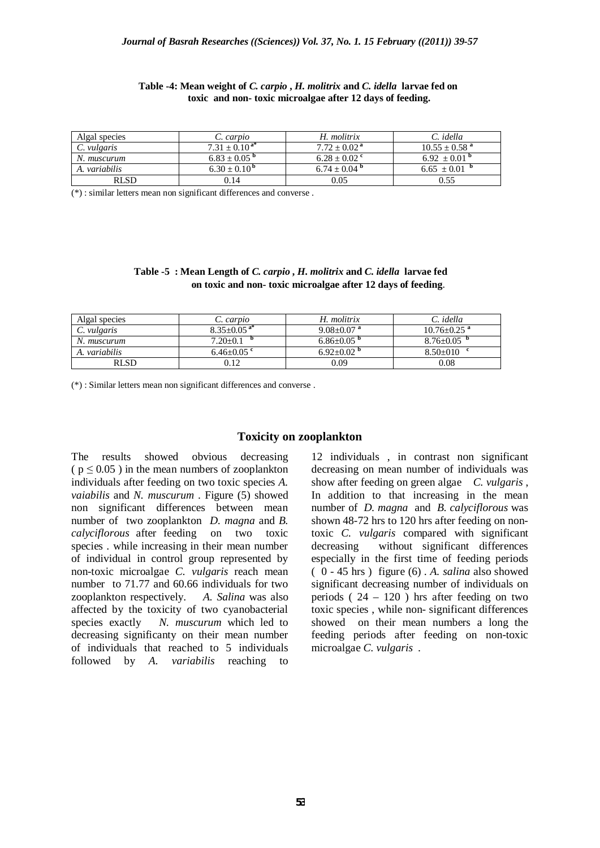| Algal species      | C. carpio             | H. molitrix                | C. idella                     |
|--------------------|-----------------------|----------------------------|-------------------------------|
| $\mid$ C. vulgaris | $7.31 \pm 0.10^{a*}$  | $7.72 \pm 0.02^{\text{a}}$ | $10.55 \pm 0.58$ <sup>a</sup> |
| N. muscurum        | $6.83 + 0.05^{\circ}$ | $6.28 + 0.02$ <sup>c</sup> | $6.92 \pm 0.01$ <sup>p</sup>  |
| A. variabilis      | $6.30 + 0.10^{b}$     | $6.74 + 0.04$ <sup>b</sup> | $6.65 + 0.01$ <sup>b</sup>    |
| <b>RLSD</b>        | 0.14                  | 0.05                       | 0.55                          |

#### **Table -4: Mean weight of** *C. carpio* **,** *H. molitrix* **and** *C. idella* **larvae fed on toxic and non- toxic microalgae after 12 days of feeding.**

(\*) : similar letters mean non significant differences and converse .

#### **Table -5 : Mean Length of** *C. carpio* **,** *H. molitrix* **and** *C. idella* **larvae fed on toxic and non- toxic microalgae after 12 days of feeding**.

| Algal species | C. carpio                     | H. molitrix                  | C. idella                     |
|---------------|-------------------------------|------------------------------|-------------------------------|
| C. vulgaris   | $8.35 \pm 0.05$ <sup>a*</sup> | $9.08 + 0.07$ <sup>a</sup>   | $10.76 \pm 0.25$ <sup>a</sup> |
| N. muscurum   | $7.20 \pm 0.1$                | $6.86 \pm 0.05$ <sup>p</sup> | $8.76 \pm 0.05$ <sup>b</sup>  |
| A. variabilis | $6.46 + 0.05$ <sup>c</sup>    | $6.92+0.02$ <sup>p</sup>     | $8.50+010$                    |
| <b>RLSD</b>   | 0.12                          | 0.09                         | 0.08                          |

(\*) : Similar letters mean non significant differences and converse .

#### **Toxicity on zooplankton**

The results showed obvious decreasing  $(p \le 0.05)$  in the mean numbers of zooplankton individuals after feeding on two toxic species *A. vaiabilis* and *N. muscurum* . Figure (5) showed non significant differences between mean number of two zooplankton *D. magna* and *B. calyciflorous* after feeding on two toxic species . while increasing in their mean number of individual in control group represented by non-toxic microalgae *C. vulgaris* reach mean number to 71.77 and 60.66 individuals for two zooplankton respectively. *A. Salina* was also affected by the toxicity of two cyanobacterial species exactly *N. muscurum* which led to decreasing significanty on their mean number of individuals that reached to 5 individuals followed by *A. variabilis* reaching to

12 individuals , in contrast non significant decreasing on mean number of individuals was show after feeding on green algae *C. vulgaris* , In addition to that increasing in the mean number of *D. magna* and *B. calyciflorous* was shown 48-72 hrs to 120 hrs after feeding on nontoxic *C. vulgaris* compared with significant decreasing without significant differences especially in the first time of feeding periods ( 0 - 45 hrs ) figure (6) . *A. salina* also showed significant decreasing number of individuals on periods ( $24 - 120$ ) hrs after feeding on two toxic species , while non- significant differences showed on their mean numbers a long the feeding periods after feeding on non-toxic microalgae *C. vulgaris .*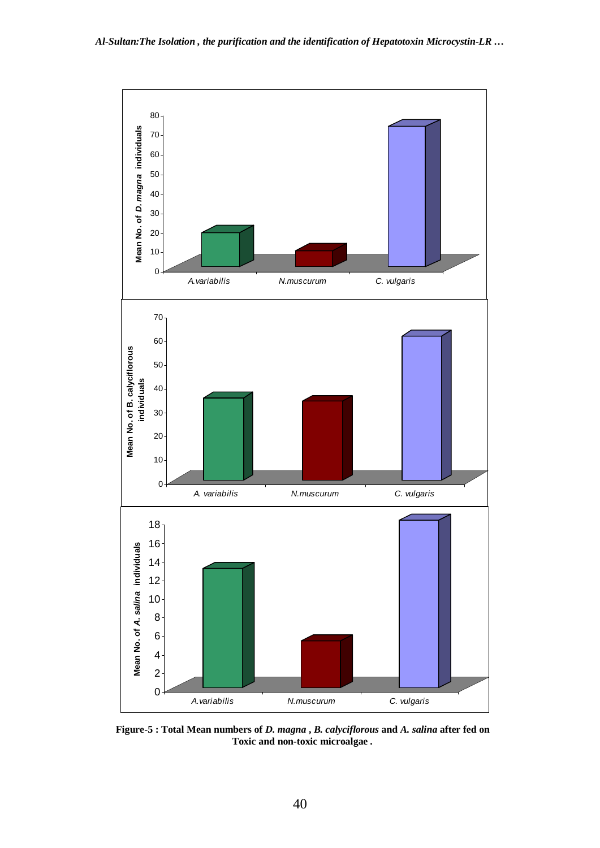

**Figure-5 : Total Mean numbers of** *D. magna* **,** *B. calyciflorous* **and** *A. salina* **after fed on Toxic and non-toxic microalgae .**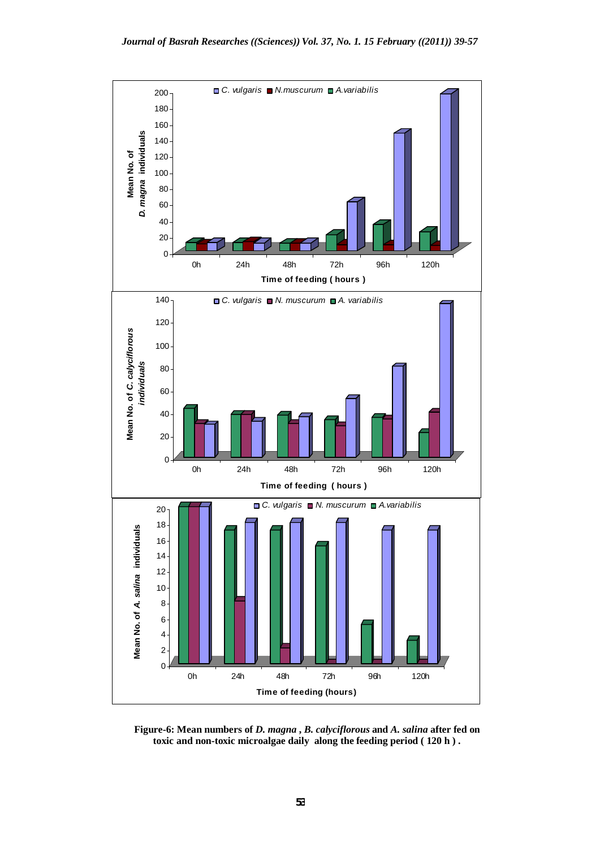

**Figure-6: Mean numbers of** *D. magna* **,** *B. calyciflorous* **and** *A. salina* **after fed on toxic and non-toxic microalgae daily along the feeding period ( 120 h ) .**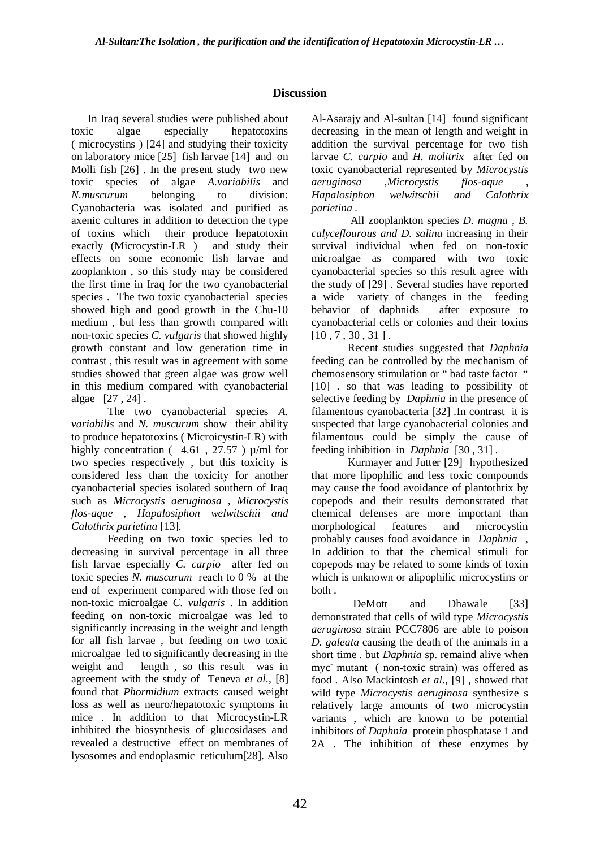# **Discussion**

 In Iraq several studies were published about toxic algae especially hepatotoxins ( microcystins ) [24] and studying their toxicity on laboratory mice [25] fish larvae [14] and on Molli fish [26] . In the present study two new toxic species of algae *A.variabilis* and *N.muscurum* belonging to division: Cyanobacteria was isolated and purified as axenic cultures in addition to detection the type of toxins which their produce hepatotoxin exactly (Microcystin-LR ) and study their effects on some economic fish larvae and zooplankton , so this study may be considered the first time in Iraq for the two cyanobacterial species . The two toxic cyanobacterial species showed high and good growth in the Chu-10 medium , but less than growth compared with non-toxic species *C. vulgaris* that showed highly growth constant and low generation time in contrast , this result was in agreement with some studies showed that green algae was grow well in this medium compared with cyanobacterial algae [27 , 24] .

The two cyanobacterial species *A. variabilis* and *N. muscurum* show their ability to produce hepatotoxins ( Microicystin-LR) with highly concentration ( $4.61$ , 27.57)  $\mu$ /ml for two species respectively , but this toxicity is considered less than the toxicity for another cyanobacterial species isolated southern of Iraq such as *Microcystis aeruginosa* , *Microcystis flos-aque , Hapalosiphon welwitschii and Calothrix parietina* [13].

Feeding on two toxic species led to decreasing in survival percentage in all three fish larvae especially *C. carpio* after fed on toxic species *N. muscurum* reach to 0 % at the end of experiment compared with those fed on non-toxic microalgae *C. vulgaris* . In addition feeding on non-toxic microalgae was led to significantly increasing in the weight and length for all fish larvae , but feeding on two toxic microalgae led to significantly decreasing in the weight and length , so this result was in agreement with the study of Teneva *et al*., [8] found that *Phormidium* extracts caused weight loss as well as neuro/hepatotoxic symptoms in mice . In addition to that Microcystin-LR inhibited the biosynthesis of glucosidases and revealed a destructive effect on membranes of lysosomes and endoplasmic reticulum[28]. Also

Al-Asarajy and Al-sultan [14] found significant decreasing in the mean of length and weight in addition the survival percentage for two fish larvae *C. carpio* and *H. molitrix* after fed on toxic cyanobacterial represented by *Microcystis aeruginosa ,Microcystis flos-aque , Hapalosiphon welwitschii and Calothrix parietina .*

 All zooplankton species *D. magna , B. calyceflourous and D. salina* increasing in their survival individual when fed on non-toxic microalgae as compared with two toxic cyanobacterial species so this result agree with the study of [29] . Several studies have reported a wide variety of changes in the feeding behavior of daphnids after exposure to cyanobacterial cells or colonies and their toxins [10 , 7 , 30 , 31 ] .

Recent studies suggested that *Daphnia* feeding can be controlled by the mechanism of chemosensory stimulation or " bad taste factor " [10] . so that was leading to possibility of selective feeding by *Daphnia* in the presence of filamentous cyanobacteria [32] *.*In contrast it is suspected that large cyanobacterial colonies and filamentous could be simply the cause of feeding inhibition in *Daphnia* [30 , 31] .

Kurmayer and Jutter [29] hypothesized that more lipophilic and less toxic compounds may cause the food avoidance of plantothrix by copepods and their results demonstrated that chemical defenses are more important than morphological features and microcystin probably causes food avoidance in *Daphnia* , In addition to that the chemical stimuli for copepods may be related to some kinds of toxin which is unknown or alipophilic microcystins or both .

DeMott and Dhawale [33] demonstrated that cells of wild type *Microcystis aeruginosa* strain PCC7806 are able to poison *D. galeata* causing the death of the animals in a short time . but *Daphnia* sp. remaind alive when myc- mutant ( non-toxic strain) was offered as food . Also Mackintosh *et al*., [9] , showed that wild type *Microcystis aeruginosa* synthesize s relatively large amounts of two microcystin variants , which are known to be potential inhibitors of *Daphnia* protein phosphatase 1 and 2A . The inhibition of these enzymes by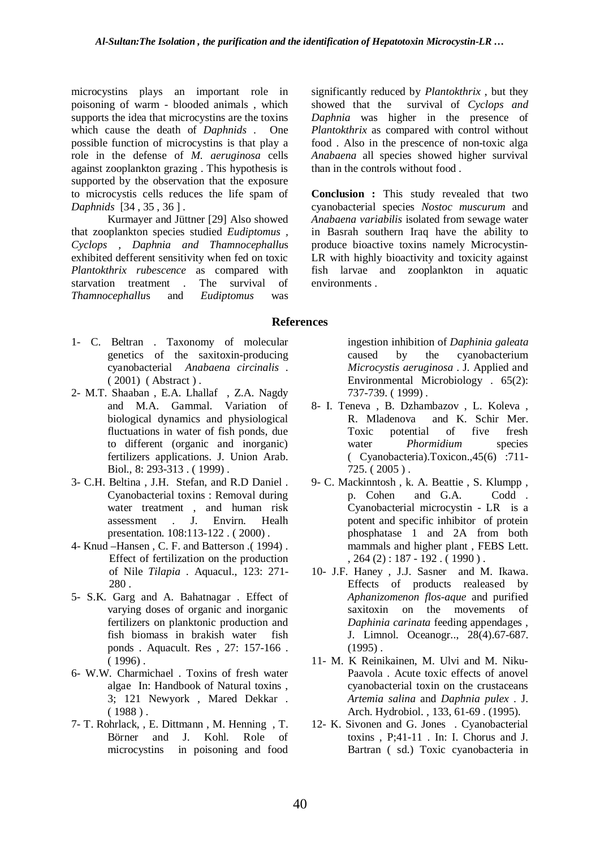microcystins plays an important role in poisoning of warm - blooded animals , which supports the idea that microcystins are the toxins which cause the death of *Daphnids* . One possible function of microcystins is that play a role in the defense of *M. aeruginosa* cells against zooplankton grazing . This hypothesis is supported by the observation that the exposure to microcystis cells reduces the life spam of *Daphnids* [34 , 35 , 36 ] .

Kurmayer and Jüttner [29] Also showed that zooplankton species studied *Eudiptomus , Cyclops , Daphnia and Thamnocephallu*s exhibited defferent sensitivity when fed on toxic *Plantokthrix rubescence* as compared with starvation treatment . The survival of *Thamnocephallu*s and *Eudiptomus* was

significantly reduced by *Plantokthrix* , but they showed that the survival of *Cyclops and Daphnia* was higher in the presence of *Plantokthrix* as compared with control without food . Also in the prescence of non-toxic alga *Anabaena* all species showed higher survival than in the controls without food .

**Conclusion :** This study revealed that two cyanobacterial species *Nostoc muscurum* and *Anabaena variabilis* isolated from sewage water in Basrah southern Iraq have the ability to produce bioactive toxins namely Microcystin-LR with highly bioactivity and toxicity against fish larvae and zooplankton in aquatic environments .

#### **References**

- 1- C. Beltran . Taxonomy of molecular genetics of the saxitoxin-producing cyanobacterial *Anabaena circinalis* . ( 2001) ( Abstract ) .
- 2- M.T. Shaaban , E.A. Lhallaf , Z.A. Nagdy and M.A. Gammal. Variation of biological dynamics and physiological fluctuations in water of fish ponds, due to different (organic and inorganic) fertilizers applications. J. Union Arab. Biol., 8: 293-313 . ( 1999) .
- 3- C.H. Beltina , J.H. Stefan, and R.D Daniel . Cyanobacterial toxins : Removal during water treatment , and human risk assessment . J. Envirn. Healh presentation. 108:113-122 . ( 2000) .
- 4- Knud –Hansen , C. F. and Batterson .( 1994) . Effect of fertilization on the production of Nile *Tilapia* . Aquacul., 123: 271- 280 .
- 5- S.K. Garg and A. Bahatnagar . Effect of varying doses of organic and inorganic fertilizers on planktonic production and fish biomass in brakish water fish ponds . Aquacult. Res , 27: 157-166 .  $(1996)$ .
- 6- W.W. Charmichael . Toxins of fresh water algae In: Handbook of Natural toxins , 3; 121 Newyork , Mared Dekkar .  $(1988)$ .
- 7- T. Rohrlack, , E. Dittmann , M. Henning , T. Börner and J. Kohl. Role of microcystins in poisoning and food

ingestion inhibition of *Daphinia galeata* caused by the cyanobacterium *Microcystis aeruginosa* . J. Applied and Environmental Microbiology . 65(2): 737-739. ( 1999) .

- 8- I. Teneva , B. Dzhambazov , L. Koleva , R. Mladenova and K. Schir Mer. Toxic potential of five fresh water *Phormidium* species ( Cyanobacteria).Toxicon.,45(6) :711- 725. ( 2005 ) .
- 9- C. Mackinntosh , k. A. Beattie , S. Klumpp , p. Cohen and G.A. Codd . Cyanobacterial microcystin - LR is a potent and specific inhibitor of protein phosphatase 1 and 2A from both mammals and higher plant , FEBS Lett.  $, 264 (2): 187 - 192.$  (1990).
- 10- J.F. Haney , J.J. Sasner and M. Ikawa. Effects of products realeased by *Aphanizomenon flos-aque* and purified saxitoxin on the movements of *Daphinia carinata* feeding appendages , J. Limnol. Oceanogr.., 28(4).67-687.  $(1995)$ .
- 11- M. K Reinikainen, M. Ulvi and M. Niku-Paavola . Acute toxic effects of anovel cyanobacterial toxin on the crustaceans *Artemia salina* and *Daphnia pulex* . J. Arch. Hydrobiol. , 133, 61-69 . (1995).
- 12- K. Sivonen and G. Jones . Cyanobacterial toxins , P;41-11 . In: I. Chorus and J. Bartran ( sd.) Toxic cyanobacteria in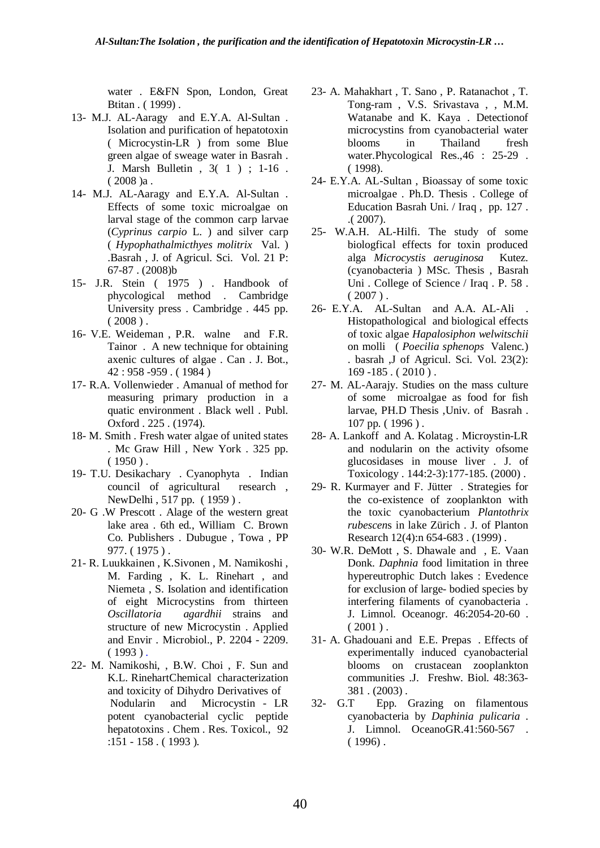water . E&FN Spon, London, Great Btitan . ( 1999) .

- 13- M.J. AL-Aaragy and E.Y.A. Al-Sultan . Isolation and purification of hepatotoxin ( Microcystin-LR ) from some Blue green algae of sweage water in Basrah . J. Marsh Bulletin , 3( 1 ) ; 1-16 . ( 2008 )a .
- 14- M.J. AL-Aaragy and E.Y.A. Al-Sultan . Effects of some toxic microalgae on larval stage of the common carp larvae (*Cyprinus carpio* L. ) and silver carp ( *Hypophathalmicthyes molitrix* Val. ) .Basrah , J. of Agricul. Sci. Vol. 21 P: 67-87 . (2008)b
- 15- J.R. Stein ( 1975 ) . Handbook of phycological method . Cambridge University press . Cambridge . 445 pp.  $(2008)$ .
- 16- V.E. Weideman , P.R. walne and F.R. Tainor . A new technique for obtaining axenic cultures of algae . Can . J. Bot., 42 : 958 -959 . ( 1984 )
- 17- R.A. Vollenwieder . Amanual of method for measuring primary production in a quatic environment . Black well . Publ. Oxford . 225 . (1974).
- 18- M. Smith . Fresh water algae of united states . Mc Graw Hill , New York . 325 pp.  $(1950)$ .
- 19- T.U. Desikachary . Cyanophyta . Indian council of agricultural research , NewDelhi , 517 pp. ( 1959 ) .
- 20- G .W Prescott . Alage of the western great lake area . 6th ed., William C. Brown Co. Publishers . Dubugue , Towa , PP 977. ( 1975 ) .
- 21- R. Luukkainen , K.Sivonen , M. Namikoshi , M. Farding , K. L. Rinehart , and Niemeta , S. Isolation and identification of eight Microcystins from thirteen *Oscillatoria agardhii* strains and structure of new Microcystin . Applied and Envir . Microbiol., P. 2204 - 2209.  $(1993)$ .
- 22- M. Namikoshi, , B.W. Choi , F. Sun and K.L. RinehartChemical characterization and toxicity of Dihydro Derivatives of Nodularin and Microcystin - LR potent cyanobacterial cyclic peptide hepatotoxins . Chem . Res. Toxicol., 92 :151 - 158 . ( 1993 ).
- 23- A. Mahakhart , T. Sano , P. Ratanachot , T. Tong-ram , V.S. Srivastava , , M.M. Watanabe and K. Kaya . Detectionof microcystins from cyanobacterial water blooms in Thailand fresh water.Phycological Res., 46 : 25-29. ( 1998).
- 24- E.Y.A. AL-Sultan , Bioassay of some toxic microalgae . Ph.D. Thesis . College of Education Basrah Uni. / Iraq , pp. 127 . .( 2007).
- 25- W.A.H. AL-Hilfi. The study of some biologfical effects for toxin produced alga *Microcystis aeruginosa* Kutez. (cyanobacteria ) MSc. Thesis , Basrah Uni . College of Science / Iraq . P. 58 .  $(2007)$ .
- 26- E.Y.A. AL-Sultan and A.A. AL-Ali . Histopathological and biological effects of toxic algae *Hapalosiphon welwitschii* on molli ( *Poecilia sphenops* Valenc*.*) . basrah ,J of Agricul. Sci. Vol. 23(2):  $169 - 185$ . (2010).
- 27- M. AL-Aarajy. Studies on the mass culture of some microalgae as food for fish larvae, PH.D Thesis ,Univ. of Basrah . 107 pp. (1996).
- 28- A. Lankoff and A. Kolatag . Microystin-LR and nodularin on the activity ofsome glucosidases in mouse liver . J. of Toxicology . 144:2-3):177-185. (2000) .
- 29- R. Kurmayer and F. Jütter . Strategies for the co-existence of zooplankton with the toxic cyanobacterium *Plantothrix rubescen*s in lake Zürich . J. of Planton Research 12(4):n 654-683 . (1999) .
- 30- W.R. DeMott , S. Dhawale and , E. Vaan Donk. *Daphnia* food limitation in three hypereutrophic Dutch lakes : Evedence for exclusion of large- bodied species by interfering filaments of cyanobacteria . J. Limnol. Oceanogr. 46:2054-20-60 .  $(2001)$ .
- 31- A. Ghadouani and E.E. Prepas . Effects of experimentally induced cyanobacterial blooms on crustacean zooplankton communities .J. Freshw. Biol. 48:363- 381 . (2003) .
- 32- G.T Epp. Grazing on filamentous cyanobacteria by *Daphinia pulicaria .* J. Limnol. OceanoGR.41:560-567 .  $(1996)$ .